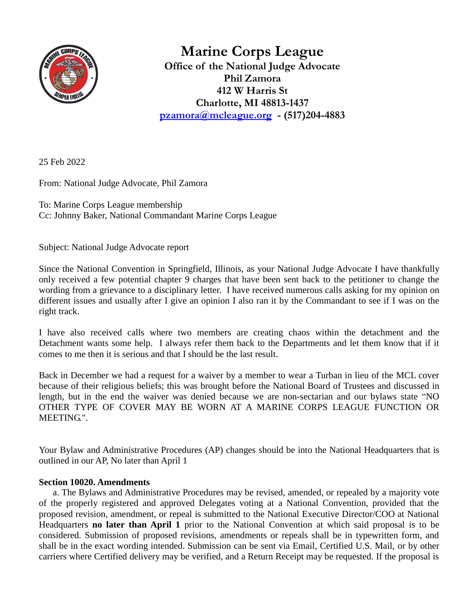

**Marine Corps League Office of the National Judge Advocate Phil Zamora 412 W Harris St Charlotte, MI 48813-1437 [pzamora@mcleague.org](mailto:pzamora@mcleague.org) - (517)204-4883**

25 Feb 2022

From: National Judge Advocate, Phil Zamora

To: Marine Corps League membership Cc: Johnny Baker, National Commandant Marine Corps League

Subject: National Judge Advocate report

Since the National Convention in Springfield, Illinois, as your National Judge Advocate I have thankfully only received a few potential chapter 9 charges that have been sent back to the petitioner to change the wording from a grievance to a disciplinary letter. I have received numerous calls asking for my opinion on different issues and usually after I give an opinion I also ran it by the Commandant to see if I was on the right track.

I have also received calls where two members are creating chaos within the detachment and the Detachment wants some help. I always refer them back to the Departments and let them know that if it comes to me then it is serious and that I should be the last result.

Back in December we had a request for a waiver by a member to wear a Turban in lieu of the MCL cover because of their religious beliefs; this was brought before the National Board of Trustees and discussed in length, but in the end the waiver was denied because we are non-sectarian and our bylaws state "NO OTHER TYPE OF COVER MAY BE WORN AT A MARINE CORPS LEAGUE FUNCTION OR MEETING.".

Your Bylaw and Administrative Procedures (AP) changes should be into the National Headquarters that is outlined in our AP, No later than April 1

## **Section 10020. Amendments**

 a. The Bylaws and Administrative Procedures may be revised, amended, or repealed by a majority vote of the properly registered and approved Delegates voting at a National Convention, provided that the proposed revision, amendment, or repeal is submitted to the National Executive Director/COO at National Headquarters **no later than April 1** prior to the National Convention at which said proposal is to be considered. Submission of proposed revisions, amendments or repeals shall be in typewritten form, and shall be in the exact wording intended. Submission can be sent via Email, Certified U.S. Mail, or by other carriers where Certified delivery may be verified, and a Return Receipt may be requested. If the proposal is